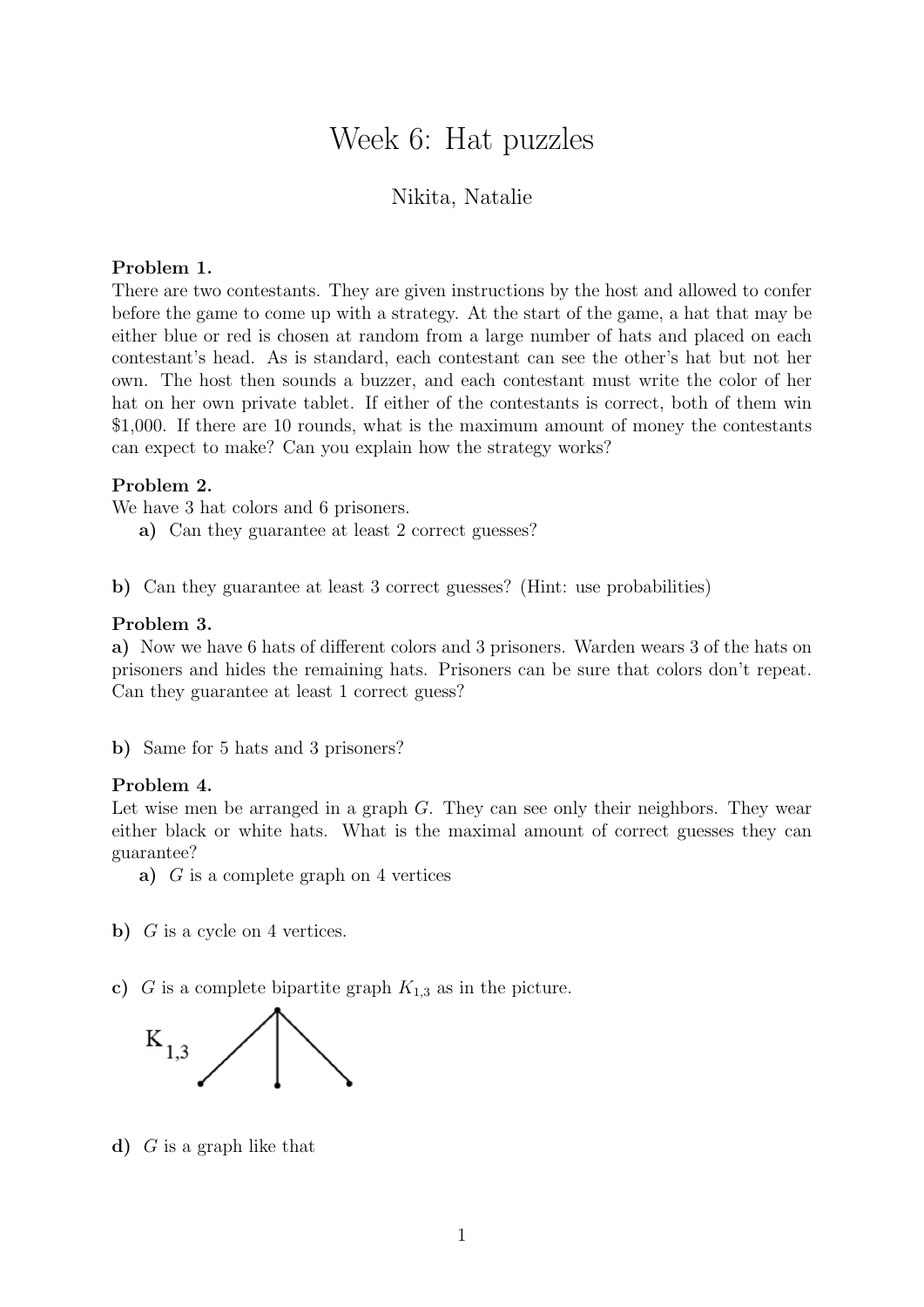# Week 6: Hat puzzles

## Nikita, Natalie

#### Problem 1.

There are two contestants. They are given instructions by the host and allowed to confer before the game to come up with a strategy. At the start of the game, a hat that may be either blue or red is chosen at random from a large number of hats and placed on each contestant's head. As is standard, each contestant can see the other's hat but not her own. The host then sounds a buzzer, and each contestant must write the color of her hat on her own private tablet. If either of the contestants is correct, both of them win \$1,000. If there are 10 rounds, what is the maximum amount of money the contestants can expect to make? Can you explain how the strategy works?

## Problem 2.

We have 3 hat colors and 6 prisoners.

a) Can they guarantee at least 2 correct guesses?

b) Can they guarantee at least 3 correct guesses? (Hint: use probabilities)

### Problem 3.

a) Now we have 6 hats of different colors and 3 prisoners. Warden wears 3 of the hats on prisoners and hides the remaining hats. Prisoners can be sure that colors don't repeat. Can they guarantee at least 1 correct guess?

b) Same for 5 hats and 3 prisoners?

#### Problem 4.

Let wise men be arranged in a graph  $G$ . They can see only their neighbors. They wear either black or white hats. What is the maximal amount of correct guesses they can guarantee?

a)  $G$  is a complete graph on 4 vertices

b)  $G$  is a cycle on 4 vertices.

c) G is a complete bipartite graph  $K_{1,3}$  as in the picture.



d)  $G$  is a graph like that